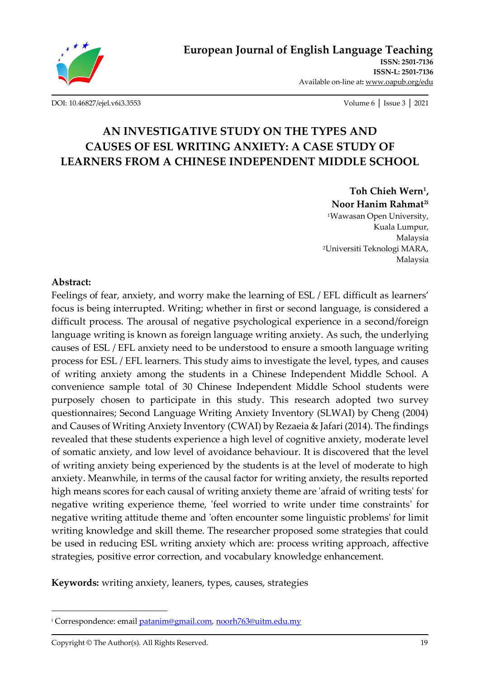

[DOI: 10.46827/ejel.v6i3.3553](http://dx.doi.org/10.46827/ejel.v6i3.3553) Volume 6 │ Issue 3 │ 2021

# **AN INVESTIGATIVE STUDY ON THE TYPES AND CAUSES OF ESL WRITING ANXIETY: A CASE STUDY OF LEARNERS FROM A CHINESE INDEPENDENT MIDDLE SCHOOL**

**Toh Chieh Wern<sup>1</sup> , Noor Hanim Rahmat2i** <sup>1</sup>Wawasan Open University, Kuala Lumpur, Malaysia <sup>2</sup>Universiti Teknologi MARA, Malaysia

#### **Abstract:**

Feelings of fear, anxiety, and worry make the learning of ESL / EFL difficult as learners' focus is being interrupted. Writing; whether in first or second language, is considered a difficult process. The arousal of negative psychological experience in a second/foreign language writing is known as foreign language writing anxiety. As such, the underlying causes of ESL / EFL anxiety need to be understood to ensure a smooth language writing process for ESL / EFL learners. This study aims to investigate the level, types, and causes of writing anxiety among the students in a Chinese Independent Middle School. A convenience sample total of 30 Chinese Independent Middle School students were purposely chosen to participate in this study. This research adopted two survey questionnaires; Second Language Writing Anxiety Inventory (SLWAI) by Cheng (2004) and Causes of Writing Anxiety Inventory (CWAI) by Rezaeia & Jafari (2014). The findings revealed that these students experience a high level of cognitive anxiety, moderate level of somatic anxiety, and low level of avoidance behaviour. It is discovered that the level of writing anxiety being experienced by the students is at the level of moderate to high anxiety. Meanwhile, in terms of the causal factor for writing anxiety, the results reported high means scores for each causal of writing anxiety theme are 'afraid of writing tests' for negative writing experience theme, 'feel worried to write under time constraints' for negative writing attitude theme and 'often encounter some linguistic problems' for limit writing knowledge and skill theme. The researcher proposed some strategies that could be used in reducing ESL writing anxiety which are: process writing approach, affective strategies, positive error correction, and vocabulary knowledge enhancement.

**Keywords:** writing anxiety, leaners, types, causes, strategies

<sup>&</sup>lt;sup>i</sup> Correspondence: email *patanim@gmail.com, [noorh763@uitm.edu.my](mailto:noorh763@uitm.edu.my)*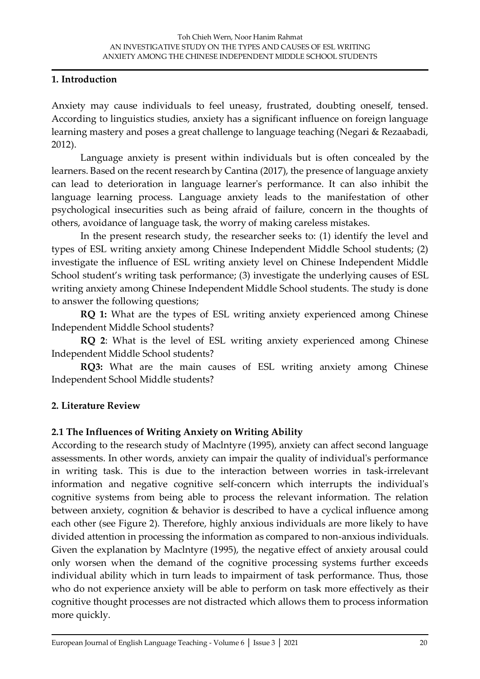### **1. Introduction**

Anxiety may cause individuals to feel uneasy, frustrated, doubting oneself, tensed. According to linguistics studies, anxiety has a significant influence on foreign language learning mastery and poses a great challenge to language teaching (Negari & Rezaabadi, 2012).

Language anxiety is present within individuals but is often concealed by the learners. Based on the recent research by Cantina (2017), the presence of language anxiety can lead to deterioration in language learner's performance. It can also inhibit the language learning process. Language anxiety leads to the manifestation of other psychological insecurities such as being afraid of failure, concern in the thoughts of others, avoidance of language task, the worry of making careless mistakes.

In the present research study, the researcher seeks to: (1) identify the level and types of ESL writing anxiety among Chinese Independent Middle School students; (2) investigate the influence of ESL writing anxiety level on Chinese Independent Middle School student's writing task performance; (3) investigate the underlying causes of ESL writing anxiety among Chinese Independent Middle School students. The study is done to answer the following questions;

**RQ 1:** What are the types of ESL writing anxiety experienced among Chinese Independent Middle School students?

**RQ 2**: What is the level of ESL writing anxiety experienced among Chinese Independent Middle School students?

**RQ3:** What are the main causes of ESL writing anxiety among Chinese Independent School Middle students?

# **2. Literature Review**

# **2.1 The Influences of Writing Anxiety on Writing Ability**

According to the research study of Maclntyre (1995), anxiety can affect second language assessments. In other words, anxiety can impair the quality of individual's performance in writing task. This is due to the interaction between worries in task-irrelevant information and negative cognitive self-concern which interrupts the individual's cognitive systems from being able to process the relevant information. The relation between anxiety, cognition & behavior is described to have a cyclical influence among each other (see Figure 2). Therefore, highly anxious individuals are more likely to have divided attention in processing the information as compared to non-anxious individuals. Given the explanation by Maclntyre (1995), the negative effect of anxiety arousal could only worsen when the demand of the cognitive processing systems further exceeds individual ability which in turn leads to impairment of task performance. Thus, those who do not experience anxiety will be able to perform on task more effectively as their cognitive thought processes are not distracted which allows them to process information more quickly.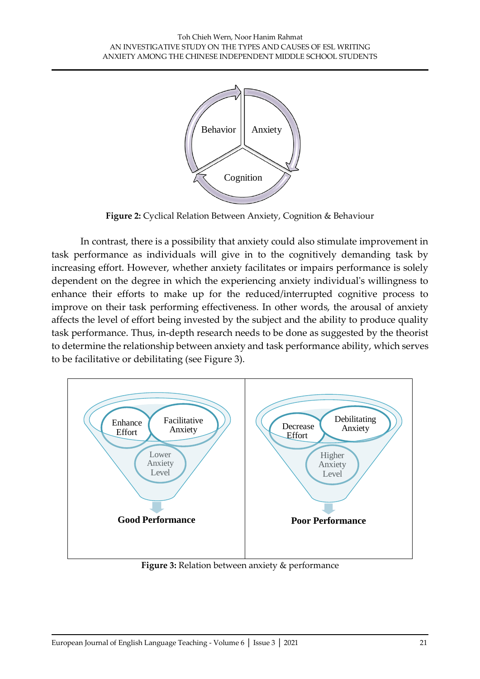

**Figure 2:** Cyclical Relation Between Anxiety, Cognition & Behaviour

In contrast, there is a possibility that anxiety could also stimulate improvement in task performance as individuals will give in to the cognitively demanding task by increasing effort. However, whether anxiety facilitates or impairs performance is solely dependent on the degree in which the experiencing anxiety individual's willingness to enhance their efforts to make up for the reduced/interrupted cognitive process to improve on their task performing effectiveness. In other words, the arousal of anxiety affects the level of effort being invested by the subject and the ability to produce quality task performance. Thus, in-depth research needs to be done as suggested by the theorist to determine the relationship between anxiety and task performance ability, which serves to be facilitative or debilitating (see Figure 3).



**Figure 3:** Relation between anxiety & performance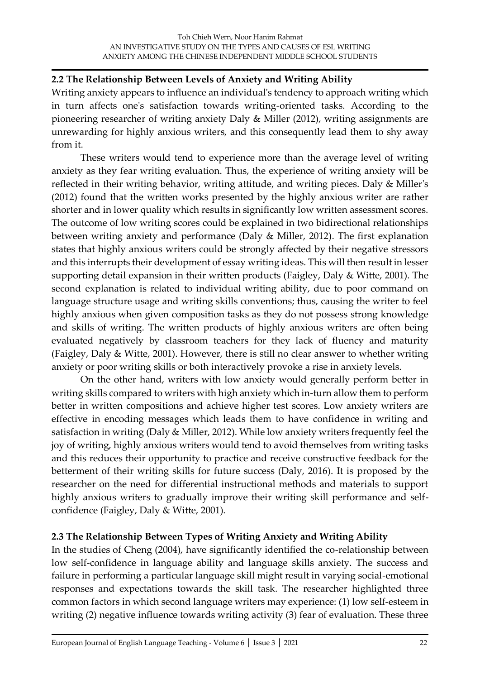### **2.2 The Relationship Between Levels of Anxiety and Writing Ability**

Writing anxiety appears to influence an individual's tendency to approach writing which in turn affects one's satisfaction towards writing-oriented tasks. According to the pioneering researcher of writing anxiety Daly & Miller (2012), writing assignments are unrewarding for highly anxious writers, and this consequently lead them to shy away from it.

These writers would tend to experience more than the average level of writing anxiety as they fear writing evaluation. Thus, the experience of writing anxiety will be reflected in their writing behavior, writing attitude, and writing pieces. Daly & Miller's (2012) found that the written works presented by the highly anxious writer are rather shorter and in lower quality which results in significantly low written assessment scores. The outcome of low writing scores could be explained in two bidirectional relationships between writing anxiety and performance (Daly & Miller, 2012). The first explanation states that highly anxious writers could be strongly affected by their negative stressors and this interrupts their development of essay writing ideas. This will then result in lesser supporting detail expansion in their written products (Faigley, Daly & Witte, 2001). The second explanation is related to individual writing ability, due to poor command on language structure usage and writing skills conventions; thus, causing the writer to feel highly anxious when given composition tasks as they do not possess strong knowledge and skills of writing. The written products of highly anxious writers are often being evaluated negatively by classroom teachers for they lack of fluency and maturity (Faigley, Daly & Witte, 2001). However, there is still no clear answer to whether writing anxiety or poor writing skills or both interactively provoke a rise in anxiety levels.

On the other hand, writers with low anxiety would generally perform better in writing skills compared to writers with high anxiety which in-turn allow them to perform better in written compositions and achieve higher test scores. Low anxiety writers are effective in encoding messages which leads them to have confidence in writing and satisfaction in writing (Daly & Miller, 2012). While low anxiety writers frequently feel the joy of writing, highly anxious writers would tend to avoid themselves from writing tasks and this reduces their opportunity to practice and receive constructive feedback for the betterment of their writing skills for future success (Daly, 2016). It is proposed by the researcher on the need for differential instructional methods and materials to support highly anxious writers to gradually improve their writing skill performance and selfconfidence (Faigley, Daly & Witte, 2001).

#### **2.3 The Relationship Between Types of Writing Anxiety and Writing Ability**

In the studies of Cheng (2004), have significantly identified the co-relationship between low self-confidence in language ability and language skills anxiety. The success and failure in performing a particular language skill might result in varying social-emotional responses and expectations towards the skill task. The researcher highlighted three common factors in which second language writers may experience: (1) low self-esteem in writing (2) negative influence towards writing activity (3) fear of evaluation. These three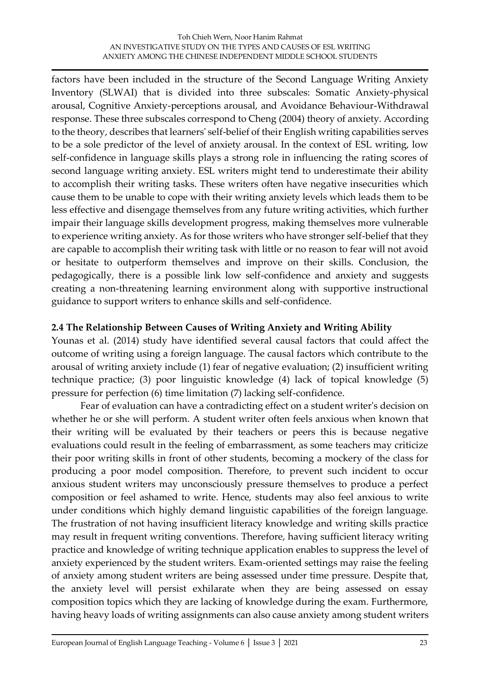factors have been included in the structure of the Second Language Writing Anxiety Inventory (SLWAI) that is divided into three subscales: Somatic Anxiety-physical arousal, Cognitive Anxiety-perceptions arousal, and Avoidance Behaviour-Withdrawal response. These three subscales correspond to Cheng (2004) theory of anxiety. According to the theory, describes that learners' self-belief of their English writing capabilities serves to be a sole predictor of the level of anxiety arousal. In the context of ESL writing, low self-confidence in language skills plays a strong role in influencing the rating scores of second language writing anxiety. ESL writers might tend to underestimate their ability to accomplish their writing tasks. These writers often have negative insecurities which cause them to be unable to cope with their writing anxiety levels which leads them to be less effective and disengage themselves from any future writing activities, which further impair their language skills development progress, making themselves more vulnerable to experience writing anxiety. As for those writers who have stronger self-belief that they are capable to accomplish their writing task with little or no reason to fear will not avoid or hesitate to outperform themselves and improve on their skills. Conclusion, the pedagogically, there is a possible link low self-confidence and anxiety and suggests creating a non-threatening learning environment along with supportive instructional guidance to support writers to enhance skills and self-confidence.

# **2.4 The Relationship Between Causes of Writing Anxiety and Writing Ability**

Younas et al. (2014) study have identified several causal factors that could affect the outcome of writing using a foreign language. The causal factors which contribute to the arousal of writing anxiety include (1) fear of negative evaluation; (2) insufficient writing technique practice; (3) poor linguistic knowledge (4) lack of topical knowledge (5) pressure for perfection (6) time limitation (7) lacking self-confidence.

Fear of evaluation can have a contradicting effect on a student writer's decision on whether he or she will perform. A student writer often feels anxious when known that their writing will be evaluated by their teachers or peers this is because negative evaluations could result in the feeling of embarrassment, as some teachers may criticize their poor writing skills in front of other students, becoming a mockery of the class for producing a poor model composition. Therefore, to prevent such incident to occur anxious student writers may unconsciously pressure themselves to produce a perfect composition or feel ashamed to write. Hence, students may also feel anxious to write under conditions which highly demand linguistic capabilities of the foreign language. The frustration of not having insufficient literacy knowledge and writing skills practice may result in frequent writing conventions. Therefore, having sufficient literacy writing practice and knowledge of writing technique application enables to suppress the level of anxiety experienced by the student writers. Exam-oriented settings may raise the feeling of anxiety among student writers are being assessed under time pressure. Despite that, the anxiety level will persist exhilarate when they are being assessed on essay composition topics which they are lacking of knowledge during the exam. Furthermore, having heavy loads of writing assignments can also cause anxiety among student writers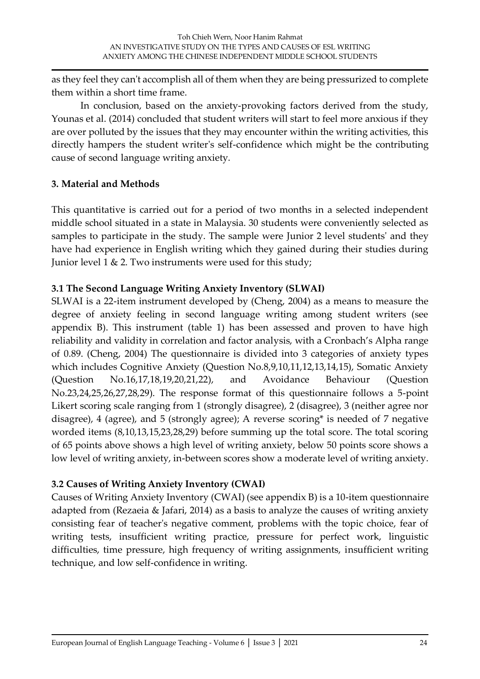as they feel they can't accomplish all of them when they are being pressurized to complete them within a short time frame.

In conclusion, based on the anxiety-provoking factors derived from the study, Younas et al. (2014) concluded that student writers will start to feel more anxious if they are over polluted by the issues that they may encounter within the writing activities, this directly hampers the student writer's self-confidence which might be the contributing cause of second language writing anxiety.

# **3. Material and Methods**

This quantitative is carried out for a period of two months in a selected independent middle school situated in a state in Malaysia. 30 students were conveniently selected as samples to participate in the study. The sample were Junior 2 level students' and they have had experience in English writing which they gained during their studies during Junior level 1 & 2. Two instruments were used for this study;

# **3.1 The Second Language Writing Anxiety Inventory (SLWAI)**

SLWAI is a 22-item instrument developed by (Cheng, 2004) as a means to measure the degree of anxiety feeling in second language writing among student writers (see appendix B). This instrument (table 1) has been assessed and proven to have high reliability and validity in correlation and factor analysis, with a Cronbach's Alpha range of 0.89. (Cheng, 2004) The questionnaire is divided into 3 categories of anxiety types which includes Cognitive Anxiety (Question No.8,9,10,11,12,13,14,15), Somatic Anxiety (Question No.16,17,18,19,20,21,22), and Avoidance Behaviour (Question No.23,24,25,26,27,28,29). The response format of this questionnaire follows a 5-point Likert scoring scale ranging from 1 (strongly disagree), 2 (disagree), 3 (neither agree nor disagree), 4 (agree), and 5 (strongly agree); A reverse scoring\* is needed of 7 negative worded items (8,10,13,15,23,28,29) before summing up the total score. The total scoring of 65 points above shows a high level of writing anxiety, below 50 points score shows a low level of writing anxiety, in-between scores show a moderate level of writing anxiety.

# **3.2 Causes of Writing Anxiety Inventory (CWAI)**

Causes of Writing Anxiety Inventory (CWAI) (see appendix B) is a 10-item questionnaire adapted from (Rezaeia & Jafari, 2014) as a basis to analyze the causes of writing anxiety consisting fear of teacher's negative comment, problems with the topic choice, fear of writing tests, insufficient writing practice, pressure for perfect work, linguistic difficulties, time pressure, high frequency of writing assignments, insufficient writing technique, and low self-confidence in writing.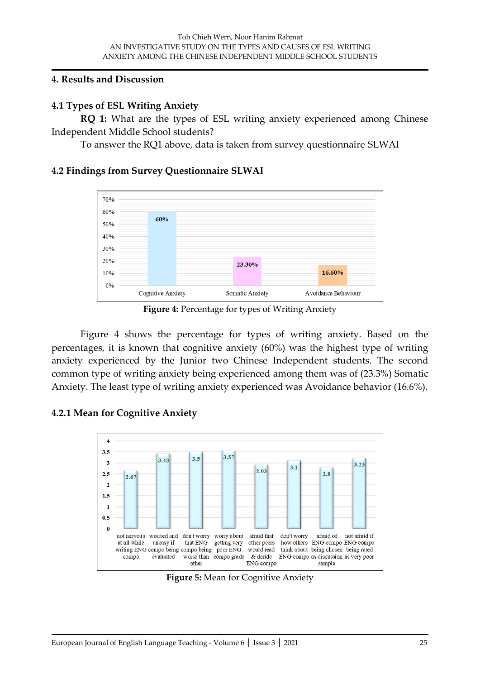#### **4. Results and Discussion**

#### **4.1 Types of ESL Writing Anxiety**

**RQ 1:** What are the types of ESL writing anxiety experienced among Chinese Independent Middle School students?

To answer the RQ1 above, data is taken from survey questionnaire SLWAI

#### **4.2 Findings from Survey Questionnaire SLWAI**



**Figure 4:** Percentage for types of Writing Anxiety

Figure 4 shows the percentage for types of writing anxiety. Based on the percentages, it is known that cognitive anxiety (60%) was the highest type of writing anxiety experienced by the Junior two Chinese Independent students. The second common type of writing anxiety being experienced among them was of (23.3%) Somatic Anxiety. The least type of writing anxiety experienced was Avoidance behavior (16.6%).

#### **4.2.1 Mean for Cognitive Anxiety**



**Figure 5:** Mean for Cognitive Anxiety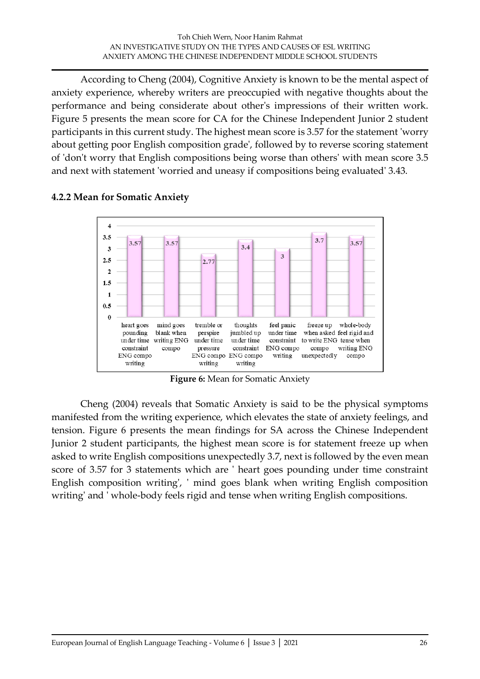According to Cheng (2004), Cognitive Anxiety is known to be the mental aspect of anxiety experience, whereby writers are preoccupied with negative thoughts about the performance and being considerate about other's impressions of their written work. Figure 5 presents the mean score for CA for the Chinese Independent Junior 2 student participants in this current study. The highest mean score is 3.57 for the statement 'worry about getting poor English composition grade', followed by to reverse scoring statement of 'don't worry that English compositions being worse than others' with mean score 3.5 and next with statement 'worried and uneasy if compositions being evaluated' 3.43.



### **4.2.2 Mean for Somatic Anxiety**

**Figure 6:** Mean for Somatic Anxiety

Cheng (2004) reveals that Somatic Anxiety is said to be the physical symptoms manifested from the writing experience, which elevates the state of anxiety feelings, and tension. Figure 6 presents the mean findings for SA across the Chinese Independent Junior 2 student participants, the highest mean score is for statement freeze up when asked to write English compositions unexpectedly 3.7, next is followed by the even mean score of 3.57 for 3 statements which are ' heart goes pounding under time constraint English composition writing', ' mind goes blank when writing English composition writing' and ' whole-body feels rigid and tense when writing English compositions.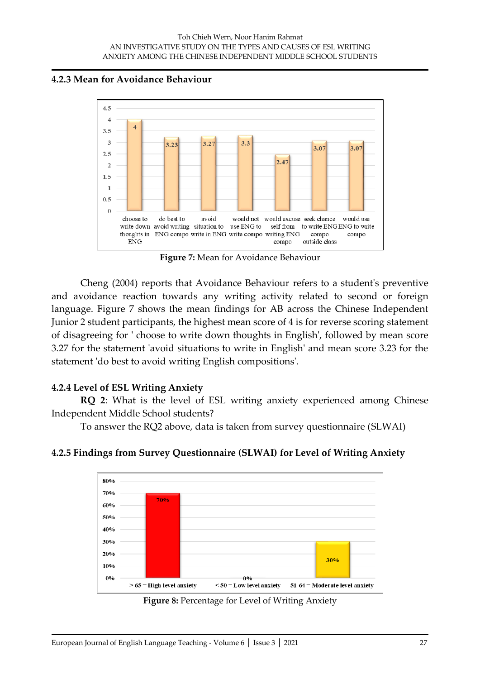#### **4.2.3 Mean for Avoidance Behaviour**



**Figure 7:** Mean for Avoidance Behaviour

Cheng (2004) reports that Avoidance Behaviour refers to a student's preventive and avoidance reaction towards any writing activity related to second or foreign language. Figure 7 shows the mean findings for AB across the Chinese Independent Junior 2 student participants, the highest mean score of 4 is for reverse scoring statement of disagreeing for ' choose to write down thoughts in English', followed by mean score 3.27 for the statement 'avoid situations to write in English' and mean score 3.23 for the statement 'do best to avoid writing English compositions'.

# **4.2.4 Level of ESL Writing Anxiety**

**RQ 2**: What is the level of ESL writing anxiety experienced among Chinese Independent Middle School students?

To answer the RQ2 above, data is taken from survey questionnaire (SLWAI)



# **4.2.5 Findings from Survey Questionnaire (SLWAI) for Level of Writing Anxiety**

**Figure 8:** Percentage for Level of Writing Anxiety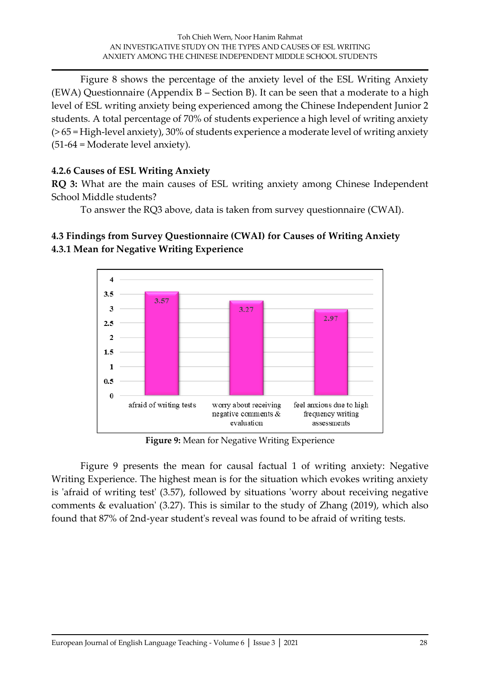Figure 8 shows the percentage of the anxiety level of the ESL Writing Anxiety (EWA) Questionnaire (Appendix B – Section B). It can be seen that a moderate to a high level of ESL writing anxiety being experienced among the Chinese Independent Junior 2 students. A total percentage of 70% of students experience a high level of writing anxiety (> 65 = High-level anxiety), 30% of students experience a moderate level of writing anxiety (51-64 = Moderate level anxiety).

### **4.2.6 Causes of ESL Writing Anxiety**

**RQ 3:** What are the main causes of ESL writing anxiety among Chinese Independent School Middle students?

To answer the RQ3 above, data is taken from survey questionnaire (CWAI).

# **4.3 Findings from Survey Questionnaire (CWAI) for Causes of Writing Anxiety 4.3.1 Mean for Negative Writing Experience**



**Figure 9:** Mean for Negative Writing Experience

Figure 9 presents the mean for causal factual 1 of writing anxiety: Negative Writing Experience. The highest mean is for the situation which evokes writing anxiety is 'afraid of writing test' (3.57), followed by situations 'worry about receiving negative comments & evaluation' (3.27). This is similar to the study of Zhang (2019), which also found that 87% of 2nd-year student's reveal was found to be afraid of writing tests.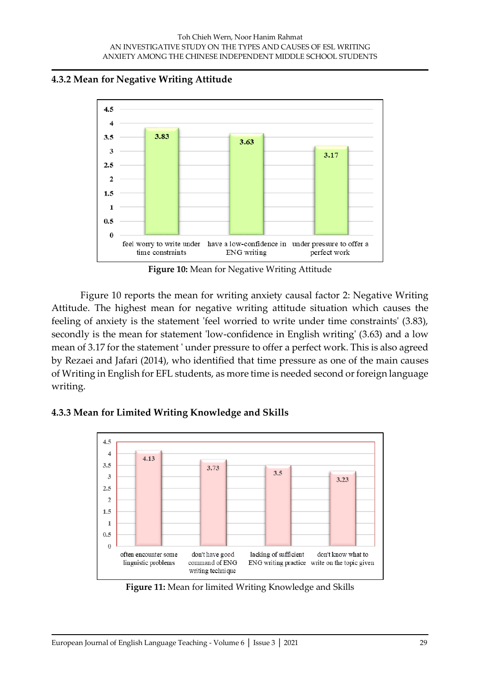#### **4.3.2 Mean for Negative Writing Attitude**



**Figure 10:** Mean for Negative Writing Attitude

Figure 10 reports the mean for writing anxiety causal factor 2: Negative Writing Attitude. The highest mean for negative writing attitude situation which causes the feeling of anxiety is the statement 'feel worried to write under time constraints' (3.83), secondly is the mean for statement 'low-confidence in English writing' (3.63) and a low mean of 3.17 for the statement ' under pressure to offer a perfect work. This is also agreed by Rezaei and Jafari (2014), who identified that time pressure as one of the main causes of Writing in English for EFL students, as more time is needed second or foreign language writing.

#### **4.3.3 Mean for Limited Writing Knowledge and Skills**



**Figure 11:** Mean for limited Writing Knowledge and Skills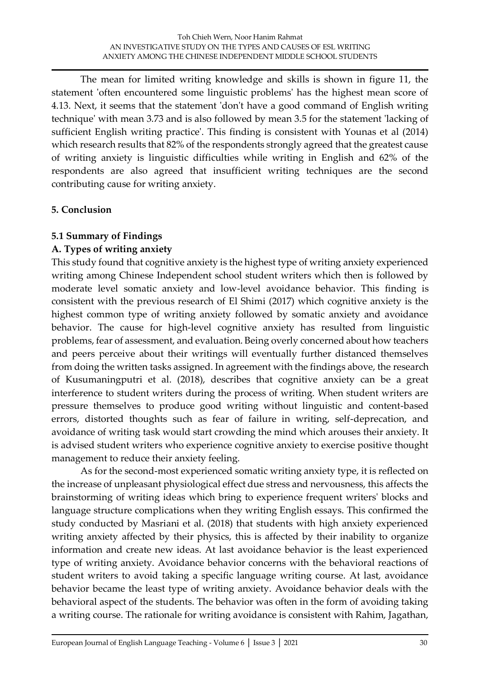The mean for limited writing knowledge and skills is shown in figure 11, the statement 'often encountered some linguistic problems' has the highest mean score of 4.13. Next, it seems that the statement 'don't have a good command of English writing technique' with mean 3.73 and is also followed by mean 3.5 for the statement 'lacking of sufficient English writing practice'. This finding is consistent with Younas et al (2014) which research results that 82% of the respondents strongly agreed that the greatest cause of writing anxiety is linguistic difficulties while writing in English and 62% of the respondents are also agreed that insufficient writing techniques are the second contributing cause for writing anxiety.

# **5. Conclusion**

# **5.1 Summary of Findings**

# **A. Types of writing anxiety**

This study found that cognitive anxiety is the highest type of writing anxiety experienced writing among Chinese Independent school student writers which then is followed by moderate level somatic anxiety and low-level avoidance behavior. This finding is consistent with the previous research of El Shimi (2017) which cognitive anxiety is the highest common type of writing anxiety followed by somatic anxiety and avoidance behavior. The cause for high-level cognitive anxiety has resulted from linguistic problems, fear of assessment, and evaluation. Being overly concerned about how teachers and peers perceive about their writings will eventually further distanced themselves from doing the written tasks assigned. In agreement with the findings above, the research of Kusumaningputri et al. (2018), describes that cognitive anxiety can be a great interference to student writers during the process of writing. When student writers are pressure themselves to produce good writing without linguistic and content-based errors, distorted thoughts such as fear of failure in writing, self-deprecation, and avoidance of writing task would start crowding the mind which arouses their anxiety. It is advised student writers who experience cognitive anxiety to exercise positive thought management to reduce their anxiety feeling.

As for the second-most experienced somatic writing anxiety type, it is reflected on the increase of unpleasant physiological effect due stress and nervousness, this affects the brainstorming of writing ideas which bring to experience frequent writers' blocks and language structure complications when they writing English essays. This confirmed the study conducted by Masriani et al. (2018) that students with high anxiety experienced writing anxiety affected by their physics, this is affected by their inability to organize information and create new ideas. At last avoidance behavior is the least experienced type of writing anxiety. Avoidance behavior concerns with the behavioral reactions of student writers to avoid taking a specific language writing course. At last, avoidance behavior became the least type of writing anxiety. Avoidance behavior deals with the behavioral aspect of the students. The behavior was often in the form of avoiding taking a writing course. The rationale for writing avoidance is consistent with Rahim, Jagathan,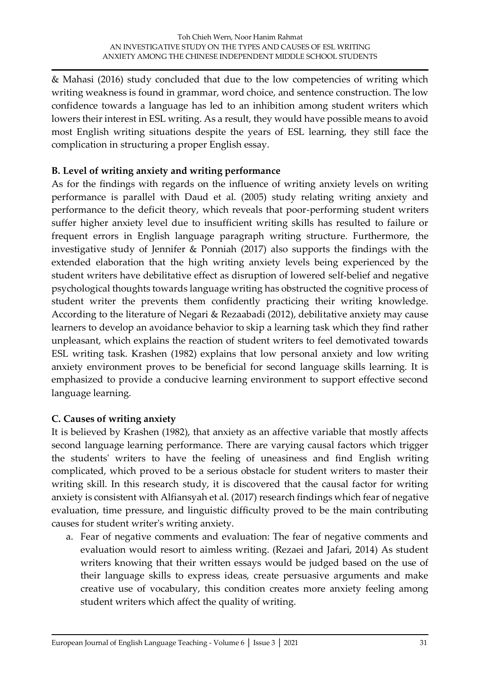& Mahasi (2016) study concluded that due to the low competencies of writing which writing weakness is found in grammar, word choice, and sentence construction. The low confidence towards a language has led to an inhibition among student writers which lowers their interest in ESL writing. As a result, they would have possible means to avoid most English writing situations despite the years of ESL learning, they still face the complication in structuring a proper English essay.

### **B. Level of writing anxiety and writing performance**

As for the findings with regards on the influence of writing anxiety levels on writing performance is parallel with Daud et al. (2005) study relating writing anxiety and performance to the deficit theory, which reveals that poor-performing student writers suffer higher anxiety level due to insufficient writing skills has resulted to failure or frequent errors in English language paragraph writing structure. Furthermore, the investigative study of Jennifer & Ponniah (2017) also supports the findings with the extended elaboration that the high writing anxiety levels being experienced by the student writers have debilitative effect as disruption of lowered self-belief and negative psychological thoughts towards language writing has obstructed the cognitive process of student writer the prevents them confidently practicing their writing knowledge. According to the literature of Negari & Rezaabadi (2012), debilitative anxiety may cause learners to develop an avoidance behavior to skip a learning task which they find rather unpleasant, which explains the reaction of student writers to feel demotivated towards ESL writing task. Krashen (1982) explains that low personal anxiety and low writing anxiety environment proves to be beneficial for second language skills learning. It is emphasized to provide a conducive learning environment to support effective second language learning.

# **C. Causes of writing anxiety**

It is believed by Krashen (1982), that anxiety as an affective variable that mostly affects second language learning performance. There are varying causal factors which trigger the students' writers to have the feeling of uneasiness and find English writing complicated, which proved to be a serious obstacle for student writers to master their writing skill. In this research study, it is discovered that the causal factor for writing anxiety is consistent with Alfiansyah et al. (2017) research findings which fear of negative evaluation, time pressure, and linguistic difficulty proved to be the main contributing causes for student writer's writing anxiety.

a. Fear of negative comments and evaluation: The fear of negative comments and evaluation would resort to aimless writing. (Rezaei and Jafari, 2014) As student writers knowing that their written essays would be judged based on the use of their language skills to express ideas, create persuasive arguments and make creative use of vocabulary, this condition creates more anxiety feeling among student writers which affect the quality of writing.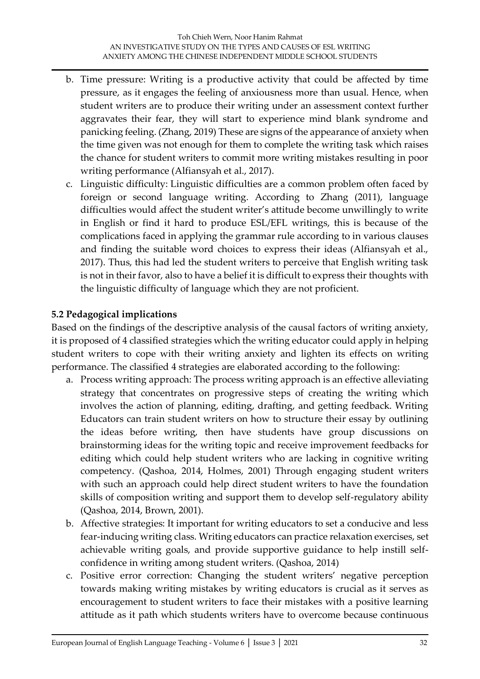- b. Time pressure: Writing is a productive activity that could be affected by time pressure, as it engages the feeling of anxiousness more than usual. Hence, when student writers are to produce their writing under an assessment context further aggravates their fear, they will start to experience mind blank syndrome and panicking feeling. (Zhang, 2019) These are signs of the appearance of anxiety when the time given was not enough for them to complete the writing task which raises the chance for student writers to commit more writing mistakes resulting in poor writing performance (Alfiansyah et al., 2017).
- c. Linguistic difficulty: Linguistic difficulties are a common problem often faced by foreign or second language writing. According to Zhang (2011), language difficulties would affect the student writer's attitude become unwillingly to write in English or find it hard to produce ESL/EFL writings, this is because of the complications faced in applying the grammar rule according to in various clauses and finding the suitable word choices to express their ideas (Alfiansyah et al., 2017). Thus, this had led the student writers to perceive that English writing task is not in their favor, also to have a belief it is difficult to express their thoughts with the linguistic difficulty of language which they are not proficient.

#### **5.2 Pedagogical implications**

Based on the findings of the descriptive analysis of the causal factors of writing anxiety, it is proposed of 4 classified strategies which the writing educator could apply in helping student writers to cope with their writing anxiety and lighten its effects on writing performance. The classified 4 strategies are elaborated according to the following:

- a. Process writing approach: The process writing approach is an effective alleviating strategy that concentrates on progressive steps of creating the writing which involves the action of planning, editing, drafting, and getting feedback. Writing Educators can train student writers on how to structure their essay by outlining the ideas before writing, then have students have group discussions on brainstorming ideas for the writing topic and receive improvement feedbacks for editing which could help student writers who are lacking in cognitive writing competency. (Qashoa, 2014, Holmes, 2001) Through engaging student writers with such an approach could help direct student writers to have the foundation skills of composition writing and support them to develop self-regulatory ability (Qashoa, 2014, Brown, 2001).
- b. Affective strategies: It important for writing educators to set a conducive and less fear-inducing writing class. Writing educators can practice relaxation exercises, set achievable writing goals, and provide supportive guidance to help instill selfconfidence in writing among student writers. (Qashoa, 2014)
- c. Positive error correction: Changing the student writers' negative perception towards making writing mistakes by writing educators is crucial as it serves as encouragement to student writers to face their mistakes with a positive learning attitude as it path which students writers have to overcome because continuous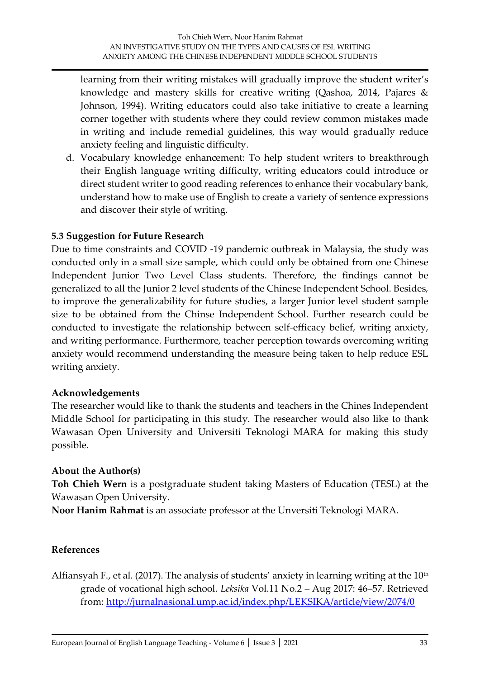learning from their writing mistakes will gradually improve the student writer's knowledge and mastery skills for creative writing (Qashoa, 2014, Pajares & Johnson, 1994). Writing educators could also take initiative to create a learning corner together with students where they could review common mistakes made in writing and include remedial guidelines, this way would gradually reduce anxiety feeling and linguistic difficulty.

d. Vocabulary knowledge enhancement: To help student writers to breakthrough their English language writing difficulty, writing educators could introduce or direct student writer to good reading references to enhance their vocabulary bank, understand how to make use of English to create a variety of sentence expressions and discover their style of writing.

#### **5.3 Suggestion for Future Research**

Due to time constraints and COVID -19 pandemic outbreak in Malaysia, the study was conducted only in a small size sample, which could only be obtained from one Chinese Independent Junior Two Level Class students. Therefore, the findings cannot be generalized to all the Junior 2 level students of the Chinese Independent School. Besides, to improve the generalizability for future studies, a larger Junior level student sample size to be obtained from the Chinse Independent School. Further research could be conducted to investigate the relationship between self-efficacy belief, writing anxiety, and writing performance. Furthermore, teacher perception towards overcoming writing anxiety would recommend understanding the measure being taken to help reduce ESL writing anxiety.

#### **Acknowledgements**

The researcher would like to thank the students and teachers in the Chines Independent Middle School for participating in this study. The researcher would also like to thank Wawasan Open University and Universiti Teknologi MARA for making this study possible.

#### **About the Author(s)**

**Toh Chieh Wern** is a postgraduate student taking Masters of Education (TESL) at the Wawasan Open University.

**Noor Hanim Rahmat** is an associate professor at the Unversiti Teknologi MARA.

#### **References**

Alfiansyah F., et al. (2017). The analysis of students' anxiety in learning writing at the  $10<sup>th</sup>$ grade of vocational high school. *Leksika* Vol.11 No.2 – Aug 2017: 46–57. Retrieved from:<http://jurnalnasional.ump.ac.id/index.php/LEKSIKA/article/view/2074/0>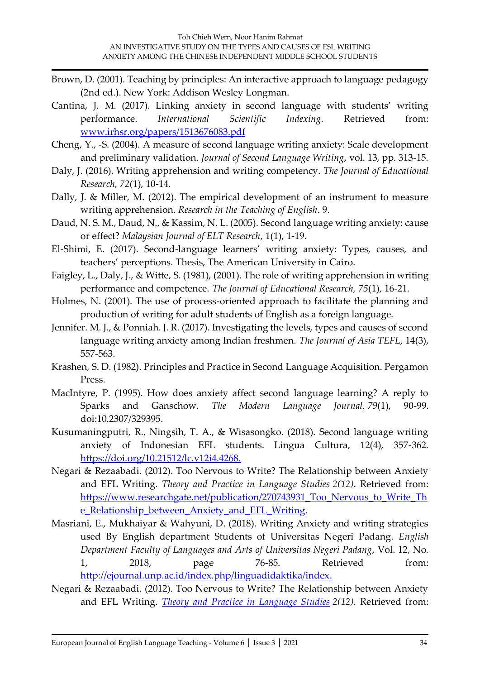- Brown, D. (2001). Teaching by principles: An interactive approach to language pedagogy (2nd ed.). New York: Addison Wesley Longman.
- Cantina, J. M. (2017). Linking anxiety in second language with students' writing performance. *International Scientific Indexing*. Retrieved from: [www.irhsr.org/papers/1513676083.pdf](http://www.irhsr.org/papers/1513676083.pdf)
- Cheng, Y., -S. (2004). A measure of second language writing anxiety: Scale development and preliminary validation. *Journal of Second Language Writing*, vol. 13, pp. 313-15.
- Daly, J. (2016). Writing apprehension and writing competency. *The Journal of Educational Research, 72*(1), 10-14.
- Dally, J. & Miller, M. (2012). The empirical development of an instrument to measure writing apprehension. *Research in the Teaching of English*. 9.
- Daud, N. S. M., Daud, N., & Kassim, N. L. (2005). Second language writing anxiety: cause or effect? *Malaysian Journal of ELT Research*, 1(1), 1-19.
- El-Shimi, E. (2017). Second-language learners' writing anxiety: Types, causes, and teachers' perceptions. Thesis, The American University in Cairo.
- Faigley, L., Daly, J., & Witte, S. (1981), (2001). The role of writing apprehension in writing performance and competence. *The Journal of Educational Research, 75*(1), 16-21.
- Holmes, N. (2001). The use of process-oriented approach to facilitate the planning and production of writing for adult students of English as a foreign language.
- Jennifer. M. J., & Ponniah. J. R. (2017). Investigating the levels, types and causes of second language writing anxiety among Indian freshmen. *The Journal of Asia TEFL*, 14(3), 557-563.
- Krashen, S. D. (1982). Principles and Practice in Second Language Acquisition. Pergamon Press.
- MacIntyre, P. (1995). How does anxiety affect second language learning? A reply to Sparks and Ganschow. *The Modern Language Journal, 79*(1), 90-99. doi:10.2307/329395.
- Kusumaningputri, R., Ningsih, T. A., & Wisasongko. (2018). Second language writing anxiety of Indonesian EFL students. Lingua Cultura, 12(4), 357-362. [https://doi.org/10.21512/lc.v12i4.4268.](https://doi.org/10.21512/lc.v12i4.4268)
- Negari & Rezaabadi. (2012). Too Nervous to Write? The Relationship between Anxiety and EFL Writing. *Theory and Practice in Language Studies 2(12)*. Retrieved from: [https://www.researchgate.net/publication/270743931\\_Too\\_Nervous\\_to\\_Write\\_Th](https://www.researchgate.net/publication/270743931_Too_Nervous_to_Write_The_Relationship_between_Anxiety_and_EFL_Writing) [e\\_Relationship\\_between\\_Anxiety\\_and\\_EFL\\_Writing.](https://www.researchgate.net/publication/270743931_Too_Nervous_to_Write_The_Relationship_between_Anxiety_and_EFL_Writing)
- Masriani, E., Mukhaiyar & Wahyuni, D. (2018). Writing Anxiety and writing strategies used By English department Students of Universitas Negeri Padang. *English Department Faculty of Languages and Arts of Universitas Negeri Padang*, Vol. 12, No. 1, 2018, page 76-85. Retrieved from: [http://ejournal.unp.ac.id/index.php/linguadidaktika/index.](http://ejournal.unp.ac.id/index.php/linguadidaktika/index)
- Negari & Rezaabadi. (2012). Too Nervous to Write? The Relationship between Anxiety and EFL Writing. *[Theory and Practice in Language Studies](https://www.researchgate.net/journal/1799-2591_Theory_and_Practice_in_Language_Studies) 2(12)*. Retrieved from: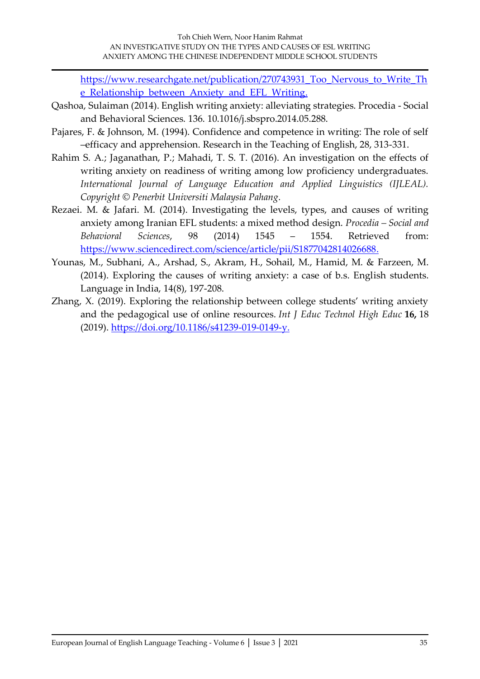[https://www.researchgate.net/publication/270743931\\_Too\\_Nervous\\_to\\_Write\\_Th](https://www.researchgate.net/publication/270743931_Too_Nervous_to_Write_The_Relationship_between_Anxiety_and_EFL_Writing) [e\\_Relationship\\_between\\_Anxiety\\_and\\_EFL\\_Writing.](https://www.researchgate.net/publication/270743931_Too_Nervous_to_Write_The_Relationship_between_Anxiety_and_EFL_Writing)

- Qashoa, Sulaiman (2014). English writing anxiety: alleviating strategies. Procedia Social and Behavioral Sciences. 136. 10.1016/j.sbspro.2014.05.288.
- Pajares, F. & Johnson, M. (1994). Confidence and competence in writing: The role of self –efficacy and apprehension. Research in the Teaching of English, 28, 313-331.
- Rahim S. A.; Jaganathan, P.; Mahadi, T. S. T. (2016). An investigation on the effects of writing anxiety on readiness of writing among low proficiency undergraduates. *International Journal of Language Education and Applied Linguistics (IJLEAL). Copyright © Penerbit Universiti Malaysia Pahang.*
- Rezaei. M. & Jafari. M. (2014). Investigating the levels, types, and causes of writing anxiety among Iranian EFL students: a mixed method design. *Procedia – Social and Behavioral Sciences*, 98 (2014) 1545 – 1554. Retrieved from: [https://www.sciencedirect.com/science/article/pii/S1877042814026688.](https://www.sciencedirect.com/science/article/pii/S1877042814026688)
- Younas, M., Subhani, A., Arshad, S., Akram, H., Sohail, M., Hamid, M. & Farzeen, M. (2014). Exploring the causes of writing anxiety: a case of b.s. English students. Language in India, 14(8), 197-208.
- Zhang, X. (2019). Exploring the relationship between college students' writing anxiety and the pedagogical use of online resources. *Int J Educ Technol High Educ* **16,** 18 (2019). [https://doi.org/10.1186/s41239-019-0149-y.](https://doi.org/10.1186/s41239-019-0149-y)